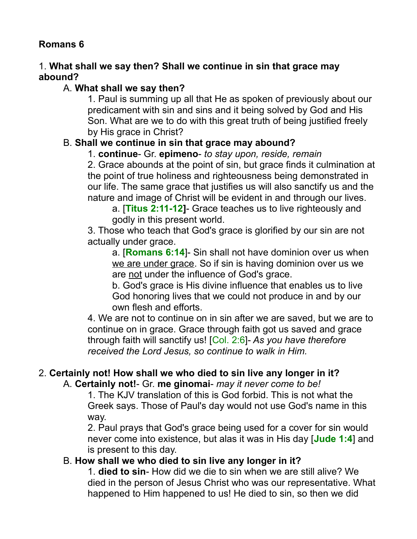# **Romans 6**

### 1. **What shall we say then? Shall we continue in sin that grace may abound?**

## A. **What shall we say then?**

1. Paul is summing up all that He as spoken of previously about our predicament with sin and sins and it being solved by God and His Son. What are we to do with this great truth of being justified freely by His grace in Christ?

## B. **Shall we continue in sin that grace may abound?**

1. **continue**- Gr. **epimeno**- *to stay upon, reside, remain*

2. Grace abounds at the point of sin, but grace finds it culmination at the point of true holiness and righteousness being demonstrated in our life. The same grace that justifies us will also sanctify us and the nature and image of Christ will be evident in and through our lives.

a. [**Titus 2:11-12]**- Grace teaches us to live righteously and godly in this present world.

3. Those who teach that God's grace is glorified by our sin are not actually under grace.

a. [**Romans 6:14**]- Sin shall not have dominion over us when we are under grace. So if sin is having dominion over us we are not under the influence of God's grace.

b. God's grace is His divine influence that enables us to live God honoring lives that we could not produce in and by our own flesh and efforts.

4. We are not to continue on in sin after we are saved, but we are to continue on in grace. Grace through faith got us saved and grace through faith will sanctify us! [Col. 2:6]- *As you have therefore received the Lord Jesus, so continue to walk in Him.* 

# 2. **Certainly not! How shall we who died to sin live any longer in it?**

## A. **Certainly not!**- Gr. **me ginomai**- *may it never come to be!*

1. The KJV translation of this is God forbid. This is not what the Greek says. Those of Paul's day would not use God's name in this way.

2. Paul prays that God's grace being used for a cover for sin would never come into existence, but alas it was in His day [**Jude 1:4**] and is present to this day.

## B. **How shall we who died to sin live any longer in it?**

1. **died to sin**- How did we die to sin when we are still alive? We died in the person of Jesus Christ who was our representative. What happened to Him happened to us! He died to sin, so then we did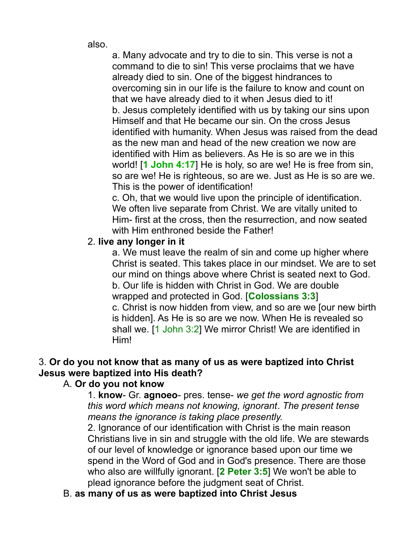also.

a. Many advocate and try to die to sin. This verse is not a command to die to sin! This verse proclaims that we have already died to sin. One of the biggest hindrances to overcoming sin in our life is the failure to know and count on that we have already died to it when Jesus died to it! b. Jesus completely identified with us by taking our sins upon Himself and that He became our sin. On the cross Jesus identified with humanity. When Jesus was raised from the dead as the new man and head of the new creation we now are identified with Him as believers. As He is so are we in this world! [**1 John 4:17**] He is holy, so are we! He is free from sin, so are we! He is righteous, so are we. Just as He is so are we. This is the power of identification!

c. Oh, that we would live upon the principle of identification. We often live separate from Christ. We are vitally united to Him- first at the cross, then the resurrection, and now seated with Him enthroned beside the Father!

#### 2. **live any longer in it**

a. We must leave the realm of sin and come up higher where Christ is seated. This takes place in our mindset. We are to set our mind on things above where Christ is seated next to God. b. Our life is hidden with Christ in God. We are double wrapped and protected in God. [**Colossians 3:3**] c. Christ is now hidden from view, and so are we [our new birth is hidden]. As He is so are we now. When He is revealed so shall we. [1 John 3:2] We mirror Christ! We are identified in Him!

### 3. **Or do you not know that as many of us as were baptized into Christ Jesus were baptized into His death?**

#### A. **Or do you not know**

1. **know**- Gr. **agnoeo**- pres. tense- *we get the word agnostic from this word which means not knowing, ignorant*. *The present tense means the ignorance is taking place presently.*

2. Ignorance of our identification with Christ is the main reason Christians live in sin and struggle with the old life. We are stewards of our level of knowledge or ignorance based upon our time we spend in the Word of God and in God's presence. There are those who also are willfully ignorant. [**2 Peter 3:5**] We won't be able to plead ignorance before the judgment seat of Christ.

B. **as many of us as were baptized into Christ Jesus**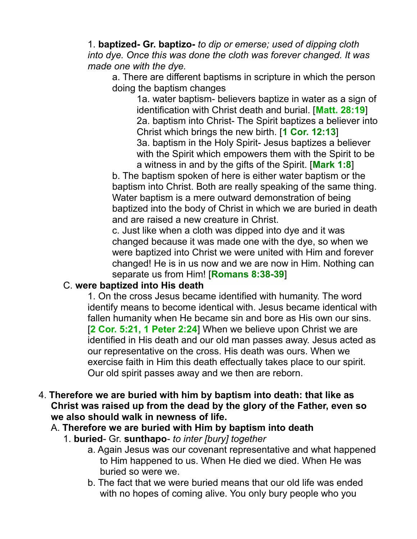1. **baptized- Gr. baptizo-** *to dip or emerse; used of dipping cloth into dye. Once this was done the cloth was forever changed. It was made one with the dye.* 

a. There are different baptisms in scripture in which the person doing the baptism changes

1a. water baptism- believers baptize in water as a sign of identification with Christ death and burial. [**Matt. 28:19**] 2a. baptism into Christ- The Spirit baptizes a believer into Christ which brings the new birth. [**1 Cor. 12:13**] 3a. baptism in the Holy Spirit- Jesus baptizes a believer with the Spirit which empowers them with the Spirit to be a witness in and by the gifts of the Spirit. [**Mark 1:8**]

b. The baptism spoken of here is either water baptism or the baptism into Christ. Both are really speaking of the same thing. Water baptism is a mere outward demonstration of being baptized into the body of Christ in which we are buried in death and are raised a new creature in Christ.

c. Just like when a cloth was dipped into dye and it was changed because it was made one with the dye, so when we were baptized into Christ we were united with Him and forever changed! He is in us now and we are now in Him. Nothing can separate us from Him! [**Romans 8:38-39**]

#### C. **were baptized into His death**

1. On the cross Jesus became identified with humanity. The word identify means to become identical with. Jesus became identical with fallen humanity when He became sin and bore as His own our sins. [**2 Cor. 5:21, 1 Peter 2:24**] When we believe upon Christ we are identified in His death and our old man passes away. Jesus acted as our representative on the cross. His death was ours. When we exercise faith in Him this death effectually takes place to our spirit. Our old spirit passes away and we then are reborn.

#### 4. **Therefore we are buried with him by baptism into death: that like as Christ was raised up from the dead by the glory of the Father, even so we also should walk in newness of life.**

## A. **Therefore we are buried with Him by baptism into death**

- 1. **buried** Gr. **sunthapo** *to inter [bury] together*
	- a. Again Jesus was our covenant representative and what happened to Him happened to us. When He died we died. When He was buried so were we.
	- b. The fact that we were buried means that our old life was ended with no hopes of coming alive. You only bury people who you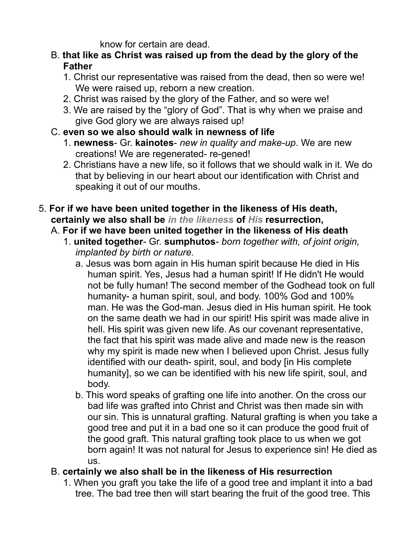know for certain are dead.

- B. **that like as Christ was raised up from the dead by the glory of the Father**
	- 1. Christ our representative was raised from the dead, then so were we! We were raised up, reborn a new creation.
	- 2. Christ was raised by the glory of the Father, and so were we!
	- 3. We are raised by the "glory of God". That is why when we praise and give God glory we are always raised up!
- C. **even so we also should walk in newness of life**
	- 1. **newness** Gr. **kainotes** *new in quality and make-up*. We are new creations! We are regenerated- re-gened!
	- 2. Christians have a new life, so it follows that we should walk in it. We do that by believing in our heart about our identification with Christ and speaking it out of our mouths.
- 5. **For if we have been united together in the likeness of His death, certainly we also shall be** *in the likeness* **of** *His* **resurrection,** 
	- A. **For if we have been united together in the likeness of His death**
		- 1. **united together** Gr. **sumphutos** *born together with, of joint origin, implanted by birth or nature.*
			- a. Jesus was born again in His human spirit because He died in His human spirit. Yes, Jesus had a human spirit! If He didn't He would not be fully human! The second member of the Godhead took on full humanity- a human spirit, soul, and body. 100% God and 100% man. He was the God-man. Jesus died in His human spirit. He took on the same death we had in our spirit! His spirit was made alive in hell. His spirit was given new life. As our covenant representative, the fact that his spirit was made alive and made new is the reason why my spirit is made new when I believed upon Christ. Jesus fully identified with our death- spirit, soul, and body [in His complete humanity], so we can be identified with his new life spirit, soul, and body.
			- b. This word speaks of grafting one life into another. On the cross our bad life was grafted into Christ and Christ was then made sin with our sin. This is unnatural grafting. Natural grafting is when you take a good tree and put it in a bad one so it can produce the good fruit of the good graft. This natural grafting took place to us when we got born again! It was not natural for Jesus to experience sin! He died as us.
	- B. **certainly we also shall be in the likeness of His resurrection**
		- 1. When you graft you take the life of a good tree and implant it into a bad tree. The bad tree then will start bearing the fruit of the good tree. This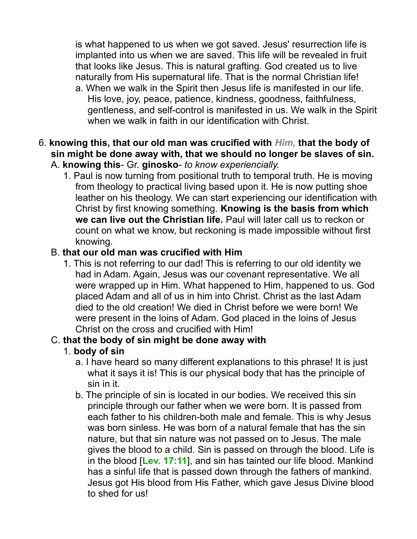is what happened to us when we got saved. Jesus' resurrection life is implanted into us when we are saved. This life will be revealed in fruit that looks like Jesus. This is natural grafting. God created us to live naturally from His supernatural life. That is the normal Christian life!

- a. When we walk in the Spirit then Jesus life is manifested in our life. His love, joy, peace, patience, kindness, goodness, faithfulness, gentleness, and self-control is manifested in us. We walk in the Spirit when we walk in faith in our identification with Christ.
- 6. **knowing this, that our old man was crucified with** *Him,* **that the body of sin might be done away with, that we should no longer be slaves of sin.**  A. **knowing this**- Gr. **ginosko**- *to know experiencially.* 
	- 1. Paul is now turning from positional truth to temporal truth. He is moving from theology to practical living based upon it. He is now putting shoe leather on his theology. We can start experiencing our identification with Christ by first knowing something. **Knowing is the basis from which we can live out the Christian life.** Paul will later call us to reckon or count on what we know, but reckoning is made impossible without first knowing.

# B. **that our old man was crucified with Him**

1. This is not referring to our dad! This is referring to our old identity we had in Adam. Again, Jesus was our covenant representative. We all were wrapped up in Him. What happened to Him, happened to us. God placed Adam and all of us in him into Christ. Christ as the last Adam died to the old creation! We died in Christ before we were born! We were present in the loins of Adam. God placed in the loins of Jesus Christ on the cross and crucified with Him!

# C. **that the body of sin might be done away with**

# 1. **body of sin**

- a. I have heard so many different explanations to this phrase! It is just what it says it is! This is our physical body that has the principle of sin in it.
- b. The principle of sin is located in our bodies. We received this sin principle through our father when we were born. It is passed from each father to his children-both male and female. This is why Jesus was born sinless. He was born of a natural female that has the sin nature, but that sin nature was not passed on to Jesus. The male gives the blood to a child. Sin is passed on through the blood. Life is in the blood [**Lev. 17:11**], and sin has tainted our life blood. Mankind has a sinful life that is passed down through the fathers of mankind. Jesus got His blood from His Father, which gave Jesus Divine blood to shed for us!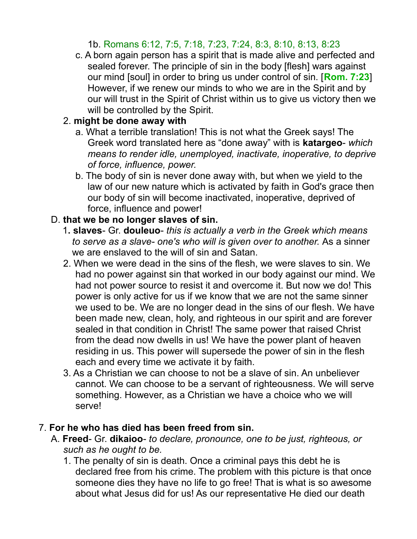# 1b. Romans 6:12, 7:5, 7:18, 7:23, 7:24, 8:3, 8:10, 8:13, 8:23

c. A born again person has a spirit that is made alive and perfected and sealed forever. The principle of sin in the body [flesh] wars against our mind [soul] in order to bring us under control of sin. [**Rom. 7:23**] However, if we renew our minds to who we are in the Spirit and by our will trust in the Spirit of Christ within us to give us victory then we will be controlled by the Spirit.

### 2. **might be done away with**

- a. What a terrible translation! This is not what the Greek says! The Greek word translated here as "done away" with is **katargeo**- *which means to render idle, unemployed, inactivate, inoperative, to deprive of force, influence, power.*
- b. The body of sin is never done away with, but when we yield to the law of our new nature which is activated by faith in God's grace then our body of sin will become inactivated, inoperative, deprived of force, influence and power!

### D. **that we be no longer slaves of sin.**

- 1**. slaves** Gr. **douleuo** *this is actually a verb in the Greek which means to serve as a slave- one's who will is given over to another.* As a sinner we are enslaved to the will of sin and Satan.
- 2. When we were dead in the sins of the flesh, we were slaves to sin. We had no power against sin that worked in our body against our mind. We had not power source to resist it and overcome it. But now we do! This power is only active for us if we know that we are not the same sinner we used to be. We are no longer dead in the sins of our flesh. We have been made new, clean, holy, and righteous in our spirit and are forever sealed in that condition in Christ! The same power that raised Christ from the dead now dwells in us! We have the power plant of heaven residing in us. This power will supersede the power of sin in the flesh each and every time we activate it by faith.
- 3. As a Christian we can choose to not be a slave of sin. An unbeliever cannot. We can choose to be a servant of righteousness. We will serve something. However, as a Christian we have a choice who we will serve!

#### 7. **For he who has died has been freed from sin.**

- A. **Freed** Gr. **dikaioo** *to declare, pronounce, one to be just, righteous, or such as he ought to be.*
	- 1. The penalty of sin is death. Once a criminal pays this debt he is declared free from his crime. The problem with this picture is that once someone dies they have no life to go free! That is what is so awesome about what Jesus did for us! As our representative He died our death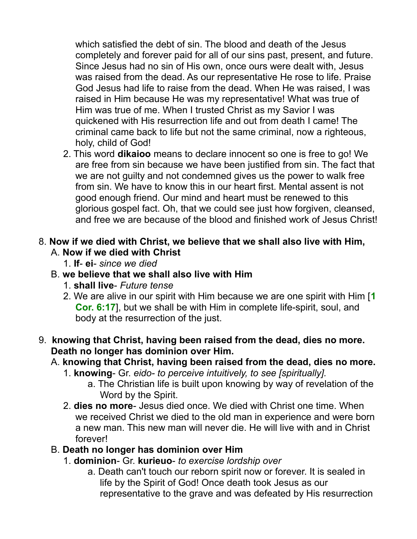which satisfied the debt of sin. The blood and death of the Jesus completely and forever paid for all of our sins past, present, and future. Since Jesus had no sin of His own, once ours were dealt with, Jesus was raised from the dead. As our representative He rose to life. Praise God Jesus had life to raise from the dead. When He was raised, I was raised in Him because He was my representative! What was true of Him was true of me. When I trusted Christ as my Savior I was quickened with His resurrection life and out from death I came! The criminal came back to life but not the same criminal, now a righteous, holy, child of God!

2. This word **dikaioo** means to declare innocent so one is free to go! We are free from sin because we have been justified from sin. The fact that we are not guilty and not condemned gives us the power to walk free from sin. We have to know this in our heart first. Mental assent is not good enough friend. Our mind and heart must be renewed to this glorious gospel fact. Oh, that we could see just how forgiven, cleansed, and free we are because of the blood and finished work of Jesus Christ!

### 8. **Now if we died with Christ, we believe that we shall also live with Him,** A. **Now if we died with Christ**

1. **If**- **ei**- *since we died*

# B. **we believe that we shall also live with Him**

- 1. **shall live** *Future tense*
- 2. We are alive in our spirit with Him because we are one spirit with Him [**1 Cor. 6:17**], but we shall be with Him in complete life-spirit, soul, and body at the resurrection of the just.

## 9. **knowing that Christ, having been raised from the dead, dies no more. Death no longer has dominion over Him.**

## A. **knowing that Christ, having been raised from the dead, dies no more.**

- 1. **knowing** Gr. *eido- to perceive intuitively, to see [spiritually].*
	- a. The Christian life is built upon knowing by way of revelation of the Word by the Spirit.
- 2. **dies no more** Jesus died once. We died with Christ one time. When we received Christ we died to the old man in experience and were born a new man. This new man will never die. He will live with and in Christ forever!

## B. **Death no longer has dominion over Him**

- 1. **dominion** Gr. **kurieuo** *to exercise lordship over*
	- a. Death can't touch our reborn spirit now or forever. It is sealed in life by the Spirit of God! Once death took Jesus as our representative to the grave and was defeated by His resurrection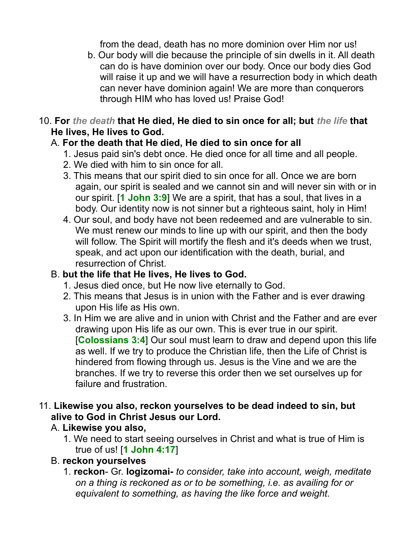from the dead, death has no more dominion over Him nor us!

- b. Our body will die because the principle of sin dwells in it. All death can do is have dominion over our body. Once our body dies God will raise it up and we will have a resurrection body in which death can never have dominion again! We are more than conquerors through HIM who has loved us! Praise God!
- 10. **For** *the death* **that He died, He died to sin once for all; but** *the life* **that He lives, He lives to God.**

# A. **For the death that He died, He died to sin once for all**

- 1. Jesus paid sin's debt once. He died once for all time and all people.
- 2. We died with him to sin once for all.
- 3. This means that our spirit died to sin once for all. Once we are born again, our spirit is sealed and we cannot sin and will never sin with or in our spirit. [**1 John 3:9**] We are a spirit, that has a soul, that lives in a body. Our identity now is not sinner but a righteous saint, holy in Him!
- 4. Our soul, and body have not been redeemed and are vulnerable to sin. We must renew our minds to line up with our spirit, and then the body will follow. The Spirit will mortify the flesh and it's deeds when we trust, speak, and act upon our identification with the death, burial, and resurrection of Christ.

# B. **but the life that He lives, He lives to God.**

- 1. Jesus died once, but He now live eternally to God.
- 2. This means that Jesus is in union with the Father and is ever drawing upon His life as His own.
- 3. In Him we are alive and in union with Christ and the Father and are ever drawing upon His life as our own. This is ever true in our spirit. [**Colossians 3:4**] Our soul must learn to draw and depend upon this life as well. If we try to produce the Christian life, then the Life of Christ is hindered from flowing through us. Jesus is the Vine and we are the branches. If we try to reverse this order then we set ourselves up for failure and frustration.

## 11. **Likewise you also, reckon yourselves to be dead indeed to sin, but alive to God in Christ Jesus our Lord.**

# A. **Likewise you also,**

1. We need to start seeing ourselves in Christ and what is true of Him is true of us! [**1 John 4:17**]

# B. **reckon yourselves**

1. **reckon**- Gr. **logizomai-** *to consider, take into account, weigh, meditate on a thing is reckoned as or to be something, i.e. as availing for or equivalent to something, as having the like force and weight.*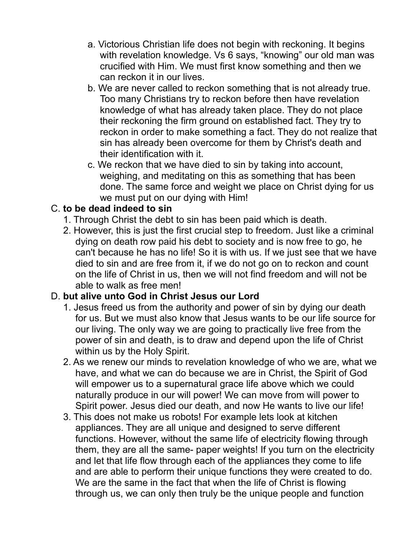- a. Victorious Christian life does not begin with reckoning. It begins with revelation knowledge. Vs 6 says, "knowing" our old man was crucified with Him. We must first know something and then we can reckon it in our lives.
- b. We are never called to reckon something that is not already true. Too many Christians try to reckon before then have revelation knowledge of what has already taken place. They do not place their reckoning the firm ground on established fact. They try to reckon in order to make something a fact. They do not realize that sin has already been overcome for them by Christ's death and their identification with it.
- c. We reckon that we have died to sin by taking into account, weighing, and meditating on this as something that has been done. The same force and weight we place on Christ dying for us we must put on our dying with Him!

# C. **to be dead indeed to sin**

- 1. Through Christ the debt to sin has been paid which is death.
- 2. However, this is just the first crucial step to freedom. Just like a criminal dying on death row paid his debt to society and is now free to go, he can't because he has no life! So it is with us. If we just see that we have died to sin and are free from it, if we do not go on to reckon and count on the life of Christ in us, then we will not find freedom and will not be able to walk as free men!

# D. **but alive unto God in Christ Jesus our Lord**

- 1. Jesus freed us from the authority and power of sin by dying our death for us. But we must also know that Jesus wants to be our life source for our living. The only way we are going to practically live free from the power of sin and death, is to draw and depend upon the life of Christ within us by the Holy Spirit.
- 2. As we renew our minds to revelation knowledge of who we are, what we have, and what we can do because we are in Christ, the Spirit of God will empower us to a supernatural grace life above which we could naturally produce in our will power! We can move from will power to Spirit power. Jesus died our death, and now He wants to live our life!
- 3. This does not make us robots! For example lets look at kitchen appliances. They are all unique and designed to serve different functions. However, without the same life of electricity flowing through them, they are all the same- paper weights! If you turn on the electricity and let that life flow through each of the appliances they come to life and are able to perform their unique functions they were created to do. We are the same in the fact that when the life of Christ is flowing through us, we can only then truly be the unique people and function